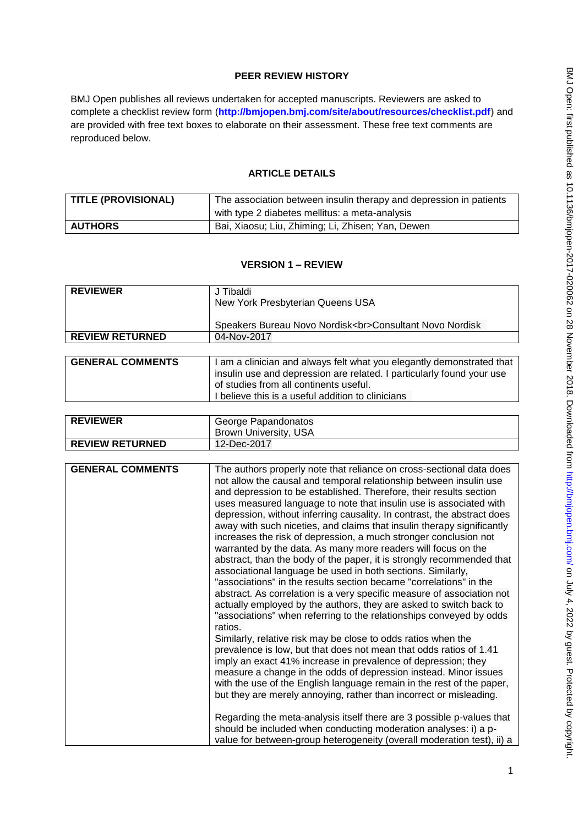## **PEER REVIEW HISTORY**

BMJ Open publishes all reviews undertaken for accepted manuscripts. Reviewers are asked to complete a checklist review form (**[http://bmjopen.bmj.com/site/about/resources/checklist.pdf\)](http://bmjopen.bmj.com/site/about/resources/checklist.pdf)** and are provided with free text boxes to elaborate on their assessment. These free text comments are reproduced below.

## **ARTICLE DETAILS**

| <b>TITLE (PROVISIONAL)</b> | The association between insulin therapy and depression in patients |
|----------------------------|--------------------------------------------------------------------|
|                            | with type 2 diabetes mellitus: a meta-analysis                     |
| <b>AUTHORS</b>             | Bai, Xiaosu; Liu, Zhiming; Li, Zhisen; Yan, Dewen                  |

## **VERSION 1 – REVIEW**

| <b>REVIEWER</b>        | J Tibaldi<br>New York Presbyterian Queens USA                     |
|------------------------|-------------------------------------------------------------------|
|                        | Speakers Bureau Novo Nordisk<br>Consultant Novo Nordisk           |
| <b>REVIEW RETURNED</b> | 04-Nov-2017                                                       |
|                        |                                                                   |
| GENERAL COMMENTS       | am a clinician and always talt what you lengthy demonstrated that |

| insulin use and depression are related. I particularly found your use |
|-----------------------------------------------------------------------|
|                                                                       |
|                                                                       |
|                                                                       |

| <b>REVIEWER</b>        | George Papandonatos<br>Brown University, USA |
|------------------------|----------------------------------------------|
| <b>REVIEW RETURNED</b> | 12-Dec-2017                                  |

| <b>GENERAL COMMENTS</b> | The authors properly note that reliance on cross-sectional data does<br>not allow the causal and temporal relationship between insulin use<br>and depression to be established. Therefore, their results section<br>uses measured language to note that insulin use is associated with<br>depression, without inferring causality. In contrast, the abstract does<br>away with such niceties, and claims that insulin therapy significantly<br>increases the risk of depression, a much stronger conclusion not<br>warranted by the data. As many more readers will focus on the |
|-------------------------|----------------------------------------------------------------------------------------------------------------------------------------------------------------------------------------------------------------------------------------------------------------------------------------------------------------------------------------------------------------------------------------------------------------------------------------------------------------------------------------------------------------------------------------------------------------------------------|
|                         | abstract, than the body of the paper, it is strongly recommended that<br>associational language be used in both sections. Similarly,<br>"associations" in the results section became "correlations" in the<br>abstract. As correlation is a very specific measure of association not<br>actually employed by the authors, they are asked to switch back to<br>"associations" when referring to the relationships conveyed by odds<br>ratios.                                                                                                                                     |
|                         | Similarly, relative risk may be close to odds ratios when the<br>prevalence is low, but that does not mean that odds ratios of 1.41<br>imply an exact 41% increase in prevalence of depression; they<br>measure a change in the odds of depression instead. Minor issues<br>with the use of the English language remain in the rest of the paper,<br>but they are merely annoying, rather than incorrect or misleading.                                                                                                                                                          |
|                         | Regarding the meta-analysis itself there are 3 possible p-values that<br>should be included when conducting moderation analyses: i) a p-<br>value for between-group heterogeneity (overall moderation test), ii) a                                                                                                                                                                                                                                                                                                                                                               |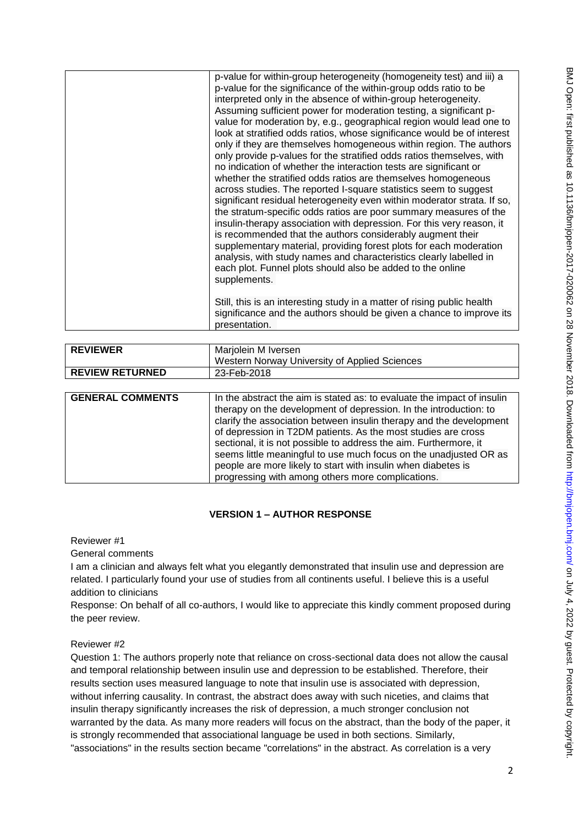|                         | p-value for within-group heterogeneity (homogeneity test) and iii) a                                                                        |
|-------------------------|---------------------------------------------------------------------------------------------------------------------------------------------|
|                         | p-value for the significance of the within-group odds ratio to be                                                                           |
|                         | interpreted only in the absence of within-group heterogeneity.                                                                              |
|                         | Assuming sufficient power for moderation testing, a significant p-                                                                          |
|                         | value for moderation by, e.g., geographical region would lead one to                                                                        |
|                         | look at stratified odds ratios, whose significance would be of interest                                                                     |
|                         | only if they are themselves homogeneous within region. The authors<br>only provide p-values for the stratified odds ratios themselves, with |
|                         | no indication of whether the interaction tests are significant or                                                                           |
|                         | whether the stratified odds ratios are themselves homogeneous                                                                               |
|                         | across studies. The reported I-square statistics seem to suggest                                                                            |
|                         | significant residual heterogeneity even within moderator strata. If so,                                                                     |
|                         | the stratum-specific odds ratios are poor summary measures of the                                                                           |
|                         | insulin-therapy association with depression. For this very reason, it                                                                       |
|                         | is recommended that the authors considerably augment their                                                                                  |
|                         | supplementary material, providing forest plots for each moderation                                                                          |
|                         | analysis, with study names and characteristics clearly labelled in                                                                          |
|                         | each plot. Funnel plots should also be added to the online                                                                                  |
|                         | supplements.                                                                                                                                |
|                         |                                                                                                                                             |
|                         | Still, this is an interesting study in a matter of rising public health                                                                     |
|                         | significance and the authors should be given a chance to improve its                                                                        |
|                         | presentation.                                                                                                                               |
|                         |                                                                                                                                             |
|                         |                                                                                                                                             |
| <b>REVIEWER</b>         | Marjolein M Iversen                                                                                                                         |
|                         | Western Norway University of Applied Sciences                                                                                               |
| <b>REVIEW RETURNED</b>  | 23-Feb-2018                                                                                                                                 |
|                         |                                                                                                                                             |
| <b>GENERAL COMMENTS</b> | In the abstract the aim is stated as: to evaluate the impact of insulin                                                                     |
|                         | therapy on the development of depression. In the introduction: to                                                                           |
|                         | clarify the association between insulin therapy and the development                                                                         |
|                         | of depression in T2DM patients. As the most studies are cross                                                                               |
|                         | sectional, it is not possible to address the aim. Furthermore, it                                                                           |
|                         | seems little meaningful to use much focus on the unadjusted OR as                                                                           |
|                         | people are more likely to start with insulin when diabetes is<br>progressing with among others more complications.                          |

# **VERSION 1 – AUTHOR RESPONSE**

Reviewer #1

General comments

I am a clinician and always felt what you elegantly demonstrated that insulin use and depression are related. I particularly found your use of studies from all continents useful. I believe this is a useful addition to clinicians

Response: On behalf of all co-authors, I would like to appreciate this kindly comment proposed during the peer review.

Reviewer #2

Question 1: The authors properly note that reliance on cross-sectional data does not allow the causal and temporal relationship between insulin use and depression to be established. Therefore, their results section uses measured language to note that insulin use is associated with depression, without inferring causality. In contrast, the abstract does away with such niceties, and claims that insulin therapy significantly increases the risk of depression, a much stronger conclusion not warranted by the data. As many more readers will focus on the abstract, than the body of the paper, it is strongly recommended that associational language be used in both sections. Similarly, "associations" in the results section became "correlations" in the abstract. As correlation is a very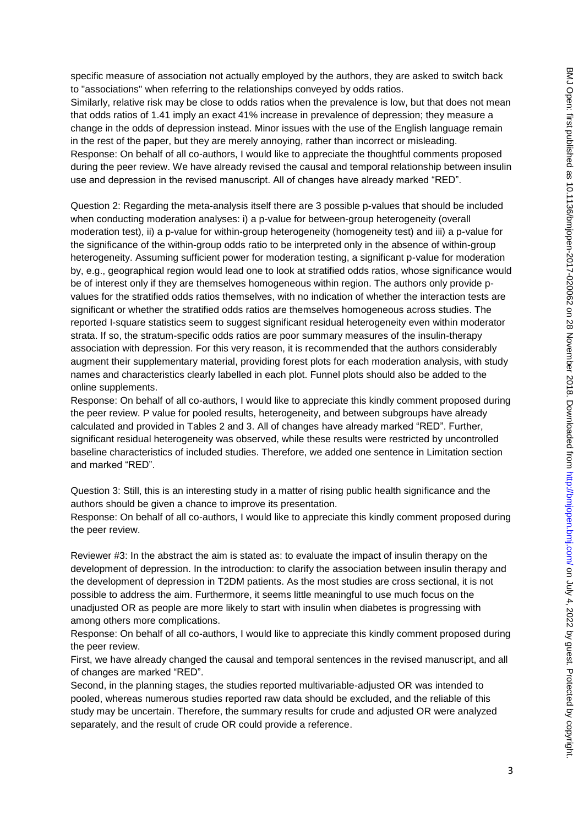specific measure of association not actually employed by the authors, they are asked to switch back to "associations" when referring to the relationships conveyed by odds ratios.

Similarly, relative risk may be close to odds ratios when the prevalence is low, but that does not mean that odds ratios of 1.41 imply an exact 41% increase in prevalence of depression; they measure a change in the odds of depression instead. Minor issues with the use of the English language remain in the rest of the paper, but they are merely annoying, rather than incorrect or misleading. Response: On behalf of all co-authors, I would like to appreciate the thoughtful comments proposed during the peer review. We have already revised the causal and temporal relationship between insulin use and depression in the revised manuscript. All of changes have already marked "RED".

Question 2: Regarding the meta-analysis itself there are 3 possible p-values that should be included when conducting moderation analyses: i) a p-value for between-group heterogeneity (overall moderation test), ii) a p-value for within-group heterogeneity (homogeneity test) and iii) a p-value for the significance of the within-group odds ratio to be interpreted only in the absence of within-group heterogeneity. Assuming sufficient power for moderation testing, a significant p-value for moderation by, e.g., geographical region would lead one to look at stratified odds ratios, whose significance would be of interest only if they are themselves homogeneous within region. The authors only provide pvalues for the stratified odds ratios themselves, with no indication of whether the interaction tests are significant or whether the stratified odds ratios are themselves homogeneous across studies. The reported I-square statistics seem to suggest significant residual heterogeneity even within moderator strata. If so, the stratum-specific odds ratios are poor summary measures of the insulin-therapy association with depression. For this very reason, it is recommended that the authors considerably augment their supplementary material, providing forest plots for each moderation analysis, with study names and characteristics clearly labelled in each plot. Funnel plots should also be added to the online supplements.

Response: On behalf of all co-authors, I would like to appreciate this kindly comment proposed during the peer review. P value for pooled results, heterogeneity, and between subgroups have already calculated and provided in Tables 2 and 3. All of changes have already marked "RED". Further, significant residual heterogeneity was observed, while these results were restricted by uncontrolled baseline characteristics of included studies. Therefore, we added one sentence in Limitation section and marked "RED".

Question 3: Still, this is an interesting study in a matter of rising public health significance and the authors should be given a chance to improve its presentation.

Response: On behalf of all co-authors, I would like to appreciate this kindly comment proposed during the peer review.

Reviewer #3: In the abstract the aim is stated as: to evaluate the impact of insulin therapy on the development of depression. In the introduction: to clarify the association between insulin therapy and the development of depression in T2DM patients. As the most studies are cross sectional, it is not possible to address the aim. Furthermore, it seems little meaningful to use much focus on the unadjusted OR as people are more likely to start with insulin when diabetes is progressing with among others more complications.

Response: On behalf of all co-authors, I would like to appreciate this kindly comment proposed during the peer review.

First, we have already changed the causal and temporal sentences in the revised manuscript, and all of changes are marked "RED".

Second, in the planning stages, the studies reported multivariable-adjusted OR was intended to pooled, whereas numerous studies reported raw data should be excluded, and the reliable of this study may be uncertain. Therefore, the summary results for crude and adjusted OR were analyzed separately, and the result of crude OR could provide a reference.